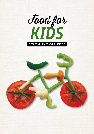